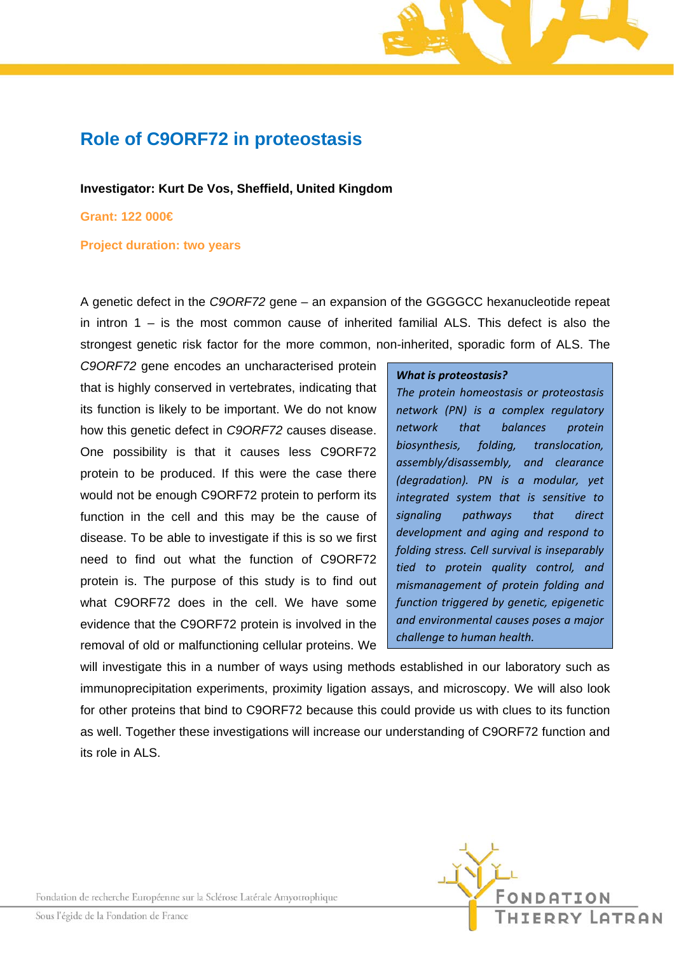## **Role of C9ORF72 in proteostasis**

**Investigator: Kurt De Vos, Sheffield, United Kingdom** 

**Grant: 122 000€** 

**Project duration: two years** 

A genetic defect in the *C9ORF72* gene – an expansion of the GGGGCC hexanucleotide repeat in intron 1 – is the most common cause of inherited familial ALS. This defect is also the strongest genetic risk factor for the more common, non-inherited, sporadic form of ALS. The

*C9ORF72* gene encodes an uncharacterised protein that is highly conserved in vertebrates, indicating that its function is likely to be important. We do not know how this genetic defect in *C9ORF72* causes disease. One possibility is that it causes less C9ORF72 protein to be produced. If this were the case there would not be enough C9ORF72 protein to perform its function in the cell and this may be the cause of disease. To be able to investigate if this is so we first need to find out what the function of C9ORF72 protein is. The purpose of this study is to find out what C9ORF72 does in the cell. We have some evidence that the C9ORF72 protein is involved in the removal of old or malfunctioning cellular proteins. We

## *What is proteostasis?*

*The protein homeostasis or proteostasis network (PN) is a complex regulatory network that balances protein biosynthesis, folding, translocation, assembly/disassembly, and clearance (degradation). PN is a modular, yet integrated system that is sensitive to signaling pathways that direct development and aging and respond to folding stress. Cell survival is inseparably tied to protein quality control, and mismanagement of protein folding and function triggered by genetic, epigenetic and environmental causes poses a major challenge to human health.* 

will investigate this in a number of ways using methods established in our laboratory such as immunoprecipitation experiments, proximity ligation assays, and microscopy. We will also look for other proteins that bind to C9ORF72 because this could provide us with clues to its function as well. Together these investigations will increase our understanding of C9ORF72 function and its role in ALS.



Fondation de recherche Européenne sur la Sclérose Latérale Amyotrophique